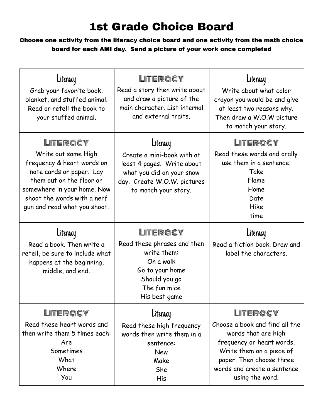## 1st Grade Choice Board

Choose one activity from the literacy choice board and one activity from the math choice board for each AMI day. Send a picture of your work once completed

| Literacy<br>Grab your favorite book,<br>blanket, and stuffed animal.<br>Read or retell the book to<br>your stuffed animal.                                                                                          | LITERQCY<br>Read a story then write about<br>and draw a picture of the<br>main character. List internal<br>and external traits.                          | Literacy<br>Write about what color<br>crayon you would be and give<br>at least two reasons why.<br>Then draw a W.O.W picture<br>to match your story.                                                     |
|---------------------------------------------------------------------------------------------------------------------------------------------------------------------------------------------------------------------|----------------------------------------------------------------------------------------------------------------------------------------------------------|----------------------------------------------------------------------------------------------------------------------------------------------------------------------------------------------------------|
| LITERQCY<br>Write out some High<br>frequency & heart words on<br>note cards or paper. Lay<br>them out on the floor or<br>somewhere in your home. Now<br>shoot the words with a nerf<br>gun and read what you shoot. | Literacy<br>Create a mini-book with at<br>least 4 pages. Write about<br>what you did on your snow<br>day. Create W.O.W. pictures<br>to match your story. | LITERQCY<br>Read these words and orally<br>use them in a sentence:<br>Take<br>Flame<br>Home<br>Date<br>Hike<br>time                                                                                      |
| Literacy<br>Read a book. Then write a<br>retell, be sure to include what<br>happens at the beginning,<br>middle, and end.                                                                                           | LITERQCY<br>Read these phrases and then<br>write them:<br>On a walk<br>Go to your home<br>Should you go<br>The fun mice<br>His best game                 | Literacy<br>Read a fiction book. Draw and<br>label the characters.                                                                                                                                       |
| LITERQCY<br>Read these heart words and<br>then write them 5 times each:<br>Are<br>Sometimes<br>What<br>Where<br>You                                                                                                 | Literacy<br>Read these high frequency<br>words then write them in a<br>sentence:<br><b>New</b><br>Make<br>She<br>His                                     | LITERQCY<br>Choose a book and find all the<br>words that are high<br>frequency or heart words.<br>Write them on a piece of<br>paper. Then choose three<br>words and create a sentence<br>using the word. |